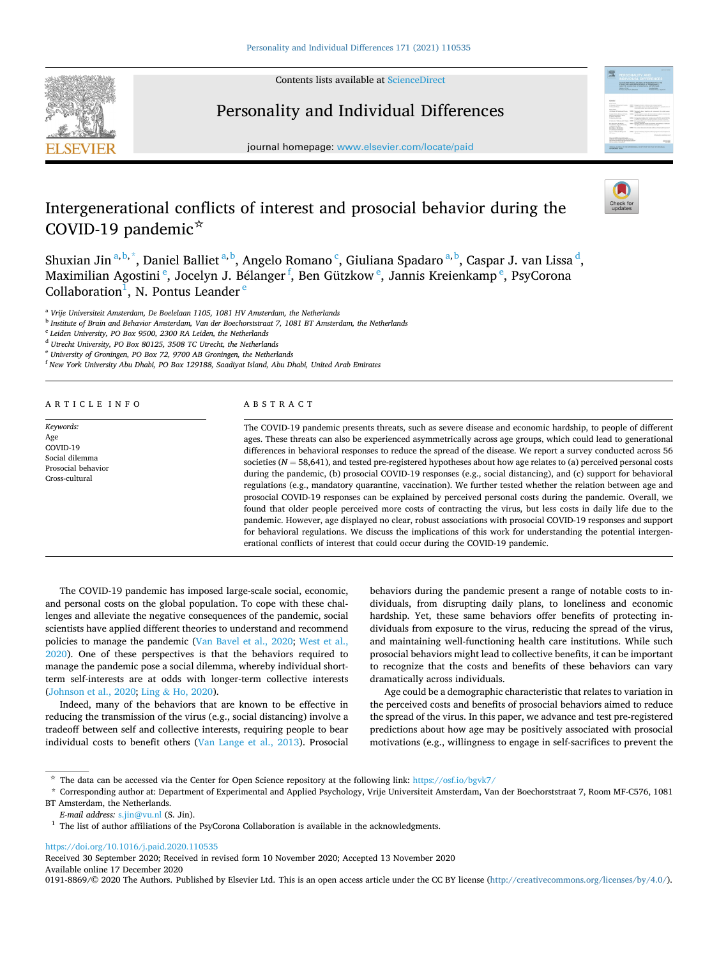

Contents lists available at [ScienceDirect](www.sciencedirect.com/science/journal/01918869)

# Personality and Individual Differences



journal homepage: [www.elsevier.com/locate/paid](https://www.elsevier.com/locate/paid)

# Intergenerational conflicts of interest and prosocial behavior during the COVID-19 pandemic☆



Shuxian Jin <sup>a, b,</sup> \*, Daniel Balliet <sup>a, b</sup>, Angelo Romano <sup>c</sup>, Giuliana Spadaro <sup>a, b</sup>, Caspar J. van Lissa <sup>d</sup>, Maximilian Agostini <sup>e</sup>, Jocelyn J. Bélanger <sup>f</sup>, Ben Gützkow <sup>e</sup>, Jannis Kreienkamp <sup>e</sup>, PsyCorona Collaboration<sup>1</sup>, N. Pontus Leander<sup>e</sup>

<sup>a</sup> *Vrije Universiteit Amsterdam, De Boelelaan 1105, 1081 HV Amsterdam, the Netherlands* 

<sup>b</sup> *Institute of Brain and Behavior Amsterdam, Van der Boechorststraat 7, 1081 BT Amsterdam, the Netherlands* 

<sup>c</sup> *Leiden University, PO Box 9500, 2300 RA Leiden, the Netherlands* 

<sup>d</sup> *Utrecht University, PO Box 80125, 3508 TC Utrecht, the Netherlands* 

<sup>e</sup> *University of Groningen, PO Box 72, 9700 AB Groningen, the Netherlands* 

<sup>f</sup> *New York University Abu Dhabi, PO Box 129188, Saadiyat Island, Abu Dhabi, United Arab Emirates* 

ARTICLE INFO

*Keywords:*  Age COVID-19 Social dilemma Prosocial behavior Cross-cultural

# ABSTRACT

The COVID-19 pandemic presents threats, such as severe disease and economic hardship, to people of different ages. These threats can also be experienced asymmetrically across age groups, which could lead to generational differences in behavioral responses to reduce the spread of the disease. We report a survey conducted across 56 societies ( $N = 58,641$ ), and tested pre-registered hypotheses about how age relates to (a) perceived personal costs during the pandemic, (b) prosocial COVID-19 responses (e.g., social distancing), and (c) support for behavioral regulations (e.g., mandatory quarantine, vaccination). We further tested whether the relation between age and prosocial COVID-19 responses can be explained by perceived personal costs during the pandemic. Overall, we found that older people perceived more costs of contracting the virus, but less costs in daily life due to the pandemic. However, age displayed no clear, robust associations with prosocial COVID-19 responses and support for behavioral regulations. We discuss the implications of this work for understanding the potential intergenerational conflicts of interest that could occur during the COVID-19 pandemic.

The COVID-19 pandemic has imposed large-scale social, economic, and personal costs on the global population. To cope with these challenges and alleviate the negative consequences of the pandemic, social scientists have applied different theories to understand and recommend policies to manage the pandemic [\(Van Bavel et al., 2020;](#page-7-0) [West et al.,](#page-7-0)  [2020\)](#page-7-0). One of these perspectives is that the behaviors required to manage the pandemic pose a social dilemma, whereby individual shortterm self-interests are at odds with longer-term collective interests ([Johnson et al., 2020;](#page-7-0) Ling & [Ho, 2020](#page-7-0)).

Indeed, many of the behaviors that are known to be effective in reducing the transmission of the virus (e.g., social distancing) involve a tradeoff between self and collective interests, requiring people to bear individual costs to benefit others [\(Van Lange et al., 2013\)](#page-7-0). Prosocial behaviors during the pandemic present a range of notable costs to individuals, from disrupting daily plans, to loneliness and economic hardship. Yet, these same behaviors offer benefits of protecting individuals from exposure to the virus, reducing the spread of the virus, and maintaining well-functioning health care institutions. While such prosocial behaviors might lead to collective benefits, it can be important to recognize that the costs and benefits of these behaviors can vary dramatically across individuals.

Age could be a demographic characteristic that relates to variation in the perceived costs and benefits of prosocial behaviors aimed to reduce the spread of the virus. In this paper, we advance and test pre-registered predictions about how age may be positively associated with prosocial motivations (e.g., willingness to engage in self-sacrifices to prevent the

\* Corresponding author at: Department of Experimental and Applied Psychology, Vrije Universiteit Amsterdam, Van der Boechorststraat 7, Room MF-C576, 1081 BT Amsterdam, the Netherlands.<br>E-mail address:  $s$ , jin@vu,nl (S. Jin).

# <https://doi.org/10.1016/j.paid.2020.110535>

Available online 17 December 2020 Received 30 September 2020; Received in revised form 10 November 2020; Accepted 13 November 2020

0191-8869/© 2020 The Authors. Published by Elsevier Ltd. This is an open access article under the CC BY license [\(http://creativecommons.org/licenses/by/4.0/\)](http://creativecommons.org/licenses/by/4.0/).

<sup>☆</sup> The data can be accessed via the Center for Open Science repository at the following link: <https://osf.io/bgvk7/>

<sup>&</sup>lt;sup>1</sup> The list of author affiliations of the PsyCorona Collaboration is available in the acknowledgments.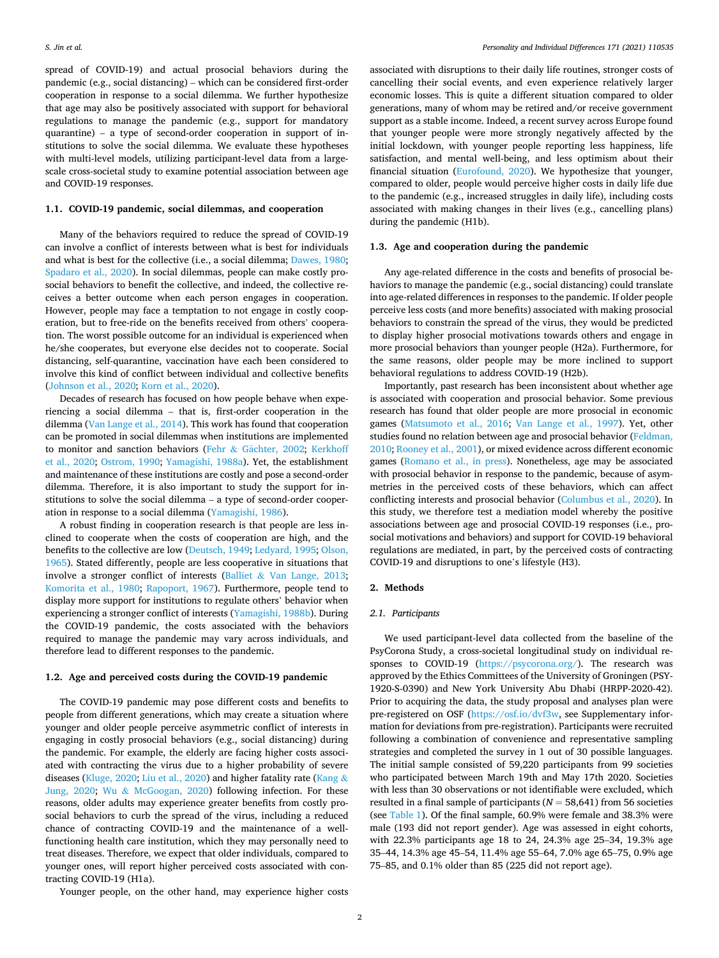spread of COVID-19) and actual prosocial behaviors during the pandemic (e.g., social distancing) – which can be considered first-order cooperation in response to a social dilemma. We further hypothesize that age may also be positively associated with support for behavioral regulations to manage the pandemic (e.g., support for mandatory quarantine) – a type of second-order cooperation in support of institutions to solve the social dilemma. We evaluate these hypotheses with multi-level models, utilizing participant-level data from a largescale cross-societal study to examine potential association between age and COVID-19 responses.

# **1.1. COVID-19 pandemic, social dilemmas, and cooperation**

Many of the behaviors required to reduce the spread of COVID-19 can involve a conflict of interests between what is best for individuals and what is best for the collective (i.e., a social dilemma; [Dawes, 1980](#page-7-0); [Spadaro et al., 2020\)](#page-7-0). In social dilemmas, people can make costly prosocial behaviors to benefit the collective, and indeed, the collective receives a better outcome when each person engages in cooperation. However, people may face a temptation to not engage in costly cooperation, but to free-ride on the benefits received from others' cooperation. The worst possible outcome for an individual is experienced when he/she cooperates, but everyone else decides not to cooperate. Social distancing, self-quarantine, vaccination have each been considered to involve this kind of conflict between individual and collective benefits ([Johnson et al., 2020; Korn et al., 2020\)](#page-7-0).

Decades of research has focused on how people behave when experiencing a social dilemma – that is, first-order cooperation in the dilemma [\(Van Lange et al., 2014](#page-7-0)). This work has found that cooperation can be promoted in social dilemmas when institutions are implemented to monitor and sanction behaviors (Fehr & Gächter, 2002; Kerkhoff [et al., 2020;](#page-7-0) [Ostrom, 1990;](#page-7-0) [Yamagishi, 1988a](#page-7-0)). Yet, the establishment and maintenance of these institutions are costly and pose a second-order dilemma. Therefore, it is also important to study the support for institutions to solve the social dilemma – a type of second-order cooperation in response to a social dilemma ([Yamagishi, 1986](#page-7-0)).

A robust finding in cooperation research is that people are less inclined to cooperate when the costs of cooperation are high, and the benefits to the collective are low ([Deutsch, 1949; Ledyard, 1995; Olson,](#page-7-0)  [1965\)](#page-7-0). Stated differently, people are less cooperative in situations that involve a stronger conflict of interests (Balliet & [Van Lange, 2013](#page-7-0); [Komorita et al., 1980;](#page-7-0) [Rapoport, 1967](#page-7-0)). Furthermore, people tend to display more support for institutions to regulate others' behavior when experiencing a stronger conflict of interests ([Yamagishi, 1988b](#page-7-0)). During the COVID-19 pandemic, the costs associated with the behaviors required to manage the pandemic may vary across individuals, and therefore lead to different responses to the pandemic.

#### **1.2. Age and perceived costs during the COVID-19 pandemic**

The COVID-19 pandemic may pose different costs and benefits to people from different generations, which may create a situation where younger and older people perceive asymmetric conflict of interests in engaging in costly prosocial behaviors (e.g., social distancing) during the pandemic. For example, the elderly are facing higher costs associated with contracting the virus due to a higher probability of severe diseases [\(Kluge, 2020](#page-7-0); [Liu et al., 2020\)](#page-7-0) and higher fatality rate [\(Kang](#page-7-0) & [Jung, 2020;](#page-7-0) Wu & [McGoogan, 2020](#page-7-0)) following infection. For these reasons, older adults may experience greater benefits from costly prosocial behaviors to curb the spread of the virus, including a reduced chance of contracting COVID-19 and the maintenance of a wellfunctioning health care institution, which they may personally need to treat diseases. Therefore, we expect that older individuals, compared to younger ones, will report higher perceived costs associated with contracting COVID-19 (H1a).

associated with disruptions to their daily life routines, stronger costs of cancelling their social events, and even experience relatively larger economic losses. This is quite a different situation compared to older generations, many of whom may be retired and/or receive government support as a stable income. Indeed, a recent survey across Europe found that younger people were more strongly negatively affected by the initial lockdown, with younger people reporting less happiness, life satisfaction, and mental well-being, and less optimism about their financial situation [\(Eurofound, 2020](#page-7-0)). We hypothesize that younger, compared to older, people would perceive higher costs in daily life due to the pandemic (e.g., increased struggles in daily life), including costs associated with making changes in their lives (e.g., cancelling plans) during the pandemic (H1b).

#### **1.3. Age and cooperation during the pandemic**

Any age-related difference in the costs and benefits of prosocial behaviors to manage the pandemic (e.g., social distancing) could translate into age-related differences in responses to the pandemic. If older people perceive less costs (and more benefits) associated with making prosocial behaviors to constrain the spread of the virus, they would be predicted to display higher prosocial motivations towards others and engage in more prosocial behaviors than younger people (H2a). Furthermore, for the same reasons, older people may be more inclined to support behavioral regulations to address COVID-19 (H2b).

Importantly, past research has been inconsistent about whether age is associated with cooperation and prosocial behavior. Some previous research has found that older people are more prosocial in economic games [\(Matsumoto et al., 2016;](#page-7-0) [Van Lange et al., 1997\)](#page-7-0). Yet, other studies found no relation between age and prosocial behavior (Feldman, [2010; Rooney et al., 2001\)](#page-7-0), or mixed evidence across different economic games ([Romano et al., in press\)](#page-7-0). Nonetheless, age may be associated with prosocial behavior in response to the pandemic, because of asymmetries in the perceived costs of these behaviors, which can affect conflicting interests and prosocial behavior ([Columbus et al., 2020\)](#page-7-0). In this study, we therefore test a mediation model whereby the positive associations between age and prosocial COVID-19 responses (i.e., prosocial motivations and behaviors) and support for COVID-19 behavioral regulations are mediated, in part, by the perceived costs of contracting COVID-19 and disruptions to one's lifestyle (H3).

#### **2. Methods**

#### *2.1. Participants*

We used participant-level data collected from the baseline of the PsyCorona Study, a cross-societal longitudinal study on individual responses to COVID-19 [\(https://psycorona.org/](https://psycorona.org/)). The research was approved by the Ethics Committees of the University of Groningen (PSY-1920-S-0390) and New York University Abu Dhabi (HRPP-2020-42). Prior to acquiring the data, the study proposal and analyses plan were pre-registered on OSF [\(https://osf.io/dvf3w](https://osf.io/dvf3w), see Supplementary information for deviations from pre-registration). Participants were recruited following a combination of convenience and representative sampling strategies and completed the survey in 1 out of 30 possible languages. The initial sample consisted of 59,220 participants from 99 societies who participated between March 19th and May 17th 2020. Societies with less than 30 observations or not identifiable were excluded, which resulted in a final sample of participants (*N* = 58,641) from 56 societies (see [Table 1](#page-2-0)). Of the final sample, 60.9% were female and 38.3% were male (193 did not report gender). Age was assessed in eight cohorts, with 22.3% participants age 18 to 24, 24.3% age 25–34, 19.3% age 35–44, 14.3% age 45–54, 11.4% age 55–64, 7.0% age 65–75, 0.9% age 75–85, and 0.1% older than 85 (225 did not report age).

Younger people, on the other hand, may experience higher costs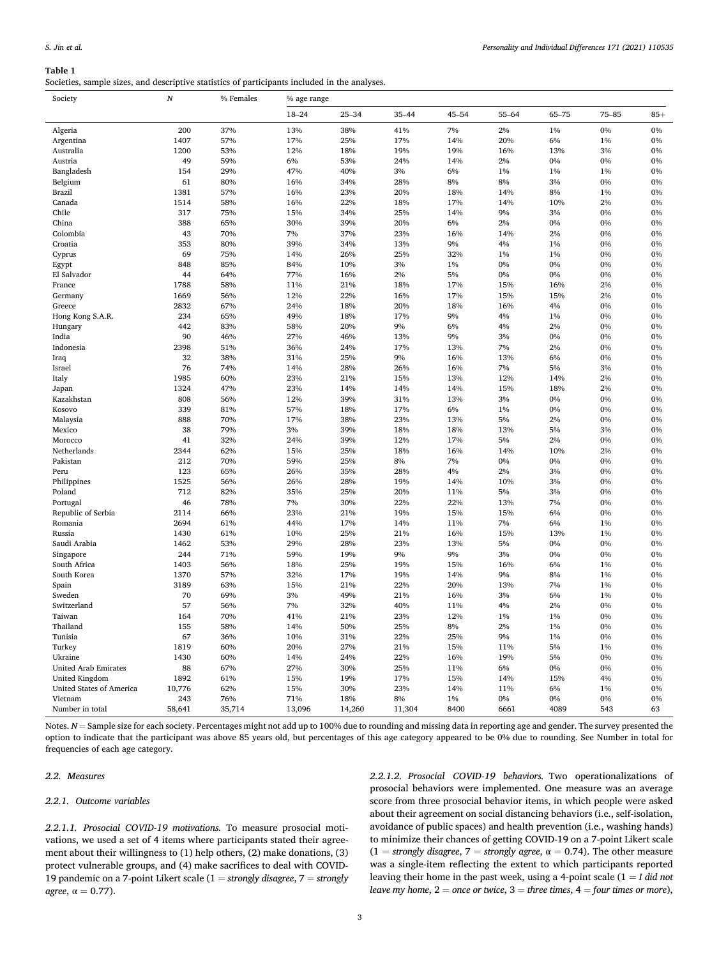#### <span id="page-2-0"></span>**Table 1**

Societies, sample sizes, and descriptive statistics of participants included in the analyses.

| Society                         | N      | % Females | % age range |           |           |           |           |       |           |       |
|---------------------------------|--------|-----------|-------------|-----------|-----------|-----------|-----------|-------|-----------|-------|
|                                 |        |           | $18 - 24$   | $25 - 34$ | $35 - 44$ | $45 - 54$ | $55 - 64$ | 65-75 | $75 - 85$ | $85+$ |
| Algeria                         | 200    | 37%       | 13%         | 38%       | 41%       | 7%        | 2%        | 1%    | 0%        | 0%    |
| Argentina                       | 1407   | 57%       | 17%         | 25%       | 17%       | 14%       | 20%       | 6%    | 1%        | 0%    |
| Australia                       | 1200   | 53%       | 12%         | 18%       | 19%       | 19%       | 16%       | 13%   | 3%        | 0%    |
| Austria                         | 49     | 59%       | 6%          | 53%       | 24%       | 14%       | 2%        | 0%    | 0%        | 0%    |
| Bangladesh                      | 154    | 29%       | 47%         | 40%       | 3%        | 6%        | 1%        | 1%    | 1%        | 0%    |
| Belgium                         | 61     | 80%       | 16%         | 34%       | 28%       | 8%        | 8%        | 3%    | 0%        | 0%    |
| Brazil                          | 1381   | 57%       | 16%         | 23%       | 20%       | 18%       | 14%       | 8%    | 1%        | 0%    |
| Canada                          | 1514   | 58%       | 16%         | 22%       | 18%       | 17%       | 14%       | 10%   | 2%        | 0%    |
| Chile                           | 317    | 75%       | 15%         | 34%       | 25%       | 14%       | 9%        | 3%    | 0%        | 0%    |
| China                           | 388    | 65%       | 30%         | 39%       | 20%       | 6%        | 2%        | 0%    | 0%        | 0%    |
| Colombia                        | 43     | 70%       | 7%          | 37%       | 23%       | 16%       | 14%       | 2%    | 0%        | 0%    |
| Croatia                         | 353    | 80%       | 39%         | 34%       | 13%       | 9%        | 4%        | 1%    | 0%        | 0%    |
| Cyprus                          | 69     | 75%       | 14%         | 26%       | 25%       | 32%       | 1%        | 1%    | 0%        | 0%    |
| Egypt                           | 848    | 85%       | 84%         | 10%       | 3%        | 1%        | 0%        | 0%    | 0%        | 0%    |
| El Salvador                     | 44     | 64%       | 77%         | 16%       | 2%        | 5%        | 0%        | 0%    | 0%        | 0%    |
| France                          | 1788   | 58%       | 11%         | 21%       | 18%       | 17%       | 15%       | 16%   | 2%        | 0%    |
| Germany                         | 1669   | 56%       | 12%         | 22%       | 16%       | 17%       | 15%       | 15%   | 2%        | 0%    |
| Greece                          | 2832   | 67%       | 24%         | 18%       | 20%       | 18%       | 16%       | 4%    | 0%        | 0%    |
| Hong Kong S.A.R.                | 234    | 65%       | 49%         | 18%       | 17%       | 9%        | 4%        | 1%    | 0%        | 0%    |
| Hungary                         | 442    | 83%       | 58%         | 20%       | 9%        | 6%        | 4%        | 2%    | 0%        | 0%    |
| India                           | 90     | 46%       | 27%         | 46%       | 13%       | 9%        | 3%        | 0%    | 0%        | 0%    |
| Indonesia                       | 2398   | 51%       | 36%         | 24%       | 17%       | 13%       | 7%        | 2%    | 0%        | 0%    |
| Iraq                            | 32     | 38%       | 31%         | 25%       | 9%        | 16%       | 13%       | 6%    | 0%        | 0%    |
| Israel                          | 76     | 74%       | 14%         | 28%       | 26%       | 16%       | 7%        | 5%    | 3%        | 0%    |
| Italy                           | 1985   | 60%       | 23%         | 21%       | 15%       | 13%       | 12%       | 14%   | 2%        | 0%    |
| Japan                           | 1324   | 47%       | 23%         | 14%       | 14%       | 14%       | 15%       | 18%   | 2%        | 0%    |
| Kazakhstan                      | 808    | 56%       | 12%         | 39%       | 31%       | 13%       | 3%        | 0%    | 0%        | 0%    |
| Kosovo                          | 339    | 81%       | 57%         | 18%       | 17%       | 6%        | 1%        | 0%    | 0%        | 0%    |
| Malaysia                        | 888    | 70%       | 17%         | 38%       | 23%       | 13%       | 5%        | 2%    | 0%        | 0%    |
| Mexico                          | 38     | 79%       | 3%          | 39%       | 18%       | 18%       | 13%       | 5%    | 3%        | 0%    |
| Morocco                         | 41     | 32%       | 24%         | 39%       | 12%       | 17%       | 5%        | 2%    | 0%        | 0%    |
| Netherlands                     | 2344   | 62%       | 15%         | 25%       | 18%       | 16%       | 14%       | 10%   | 2%        | 0%    |
| Pakistan                        | 212    | 70%       | 59%         | 25%       | 8%        | 7%        | $0\%$     | $0\%$ | 0%        | 0%    |
| Peru                            | 123    | 65%       | 26%         | 35%       | 28%       | 4%        | 2%        | 3%    | 0%        | 0%    |
| Philippines                     | 1525   | 56%       | 26%         | 28%       | 19%       | 14%       | 10%       | 3%    | 0%        | 0%    |
| Poland                          | 712    | 82%       | 35%         | 25%       | 20%       | 11%       | 5%        | 3%    | 0%        | 0%    |
| Portugal                        | 46     | 78%       | 7%          | 30%       | 22%       | 22%       | 13%       | 7%    | 0%        | 0%    |
| Republic of Serbia              | 2114   | 66%       | 23%         | 21%       | 19%       | 15%       | 15%       | 6%    | 0%        | 0%    |
| Romania                         | 2694   | 61%       | 44%         | 17%       | 14%       | 11%       | 7%        | 6%    | 1%        | 0%    |
| Russia                          | 1430   | 61%       | 10%         | 25%       | 21%       | 16%       | 15%       | 13%   | 1%        | 0%    |
| Saudi Arabia                    | 1462   | 53%       | 29%         | 28%       | 23%       | 13%       | 5%        | 0%    | 0%        | 0%    |
| Singapore                       | 244    | 71%       | 59%         | 19%       | 9%        | 9%        | 3%        | 0%    | 0%        | 0%    |
| South Africa                    | 1403   | 56%       | 18%         | 25%       | 19%       | 15%       | 16%       | 6%    | 1%        | 0%    |
| South Korea                     | 1370   | 57%       | 32%         | 17%       | 19%       | 14%       | 9%        | 8%    | 1%        | 0%    |
| Spain                           | 3189   | 63%       | 15%         | 21%       | 22%       | 20%       | 13%       | 7%    | 1%        | 0%    |
| Sweden                          | 70     | 69%       | 3%          | 49%       | 21%       | 16%       | 3%        | 6%    | 1%        | 0%    |
| Switzerland                     | 57     | 56%       | 7%          | 32%       | 40%       | 11%       | 4%        | 2%    | 0%        | 0%    |
| Taiwan                          | 164    | 70%       | 41%         | 21%       | 23%       | 12%       | 1%        | 1%    | 0%        | 0%    |
| Thailand                        | 155    | 58%       | 14%         | 50%       | 25%       | 8%        | 2%        | 1%    | 0%        | 0%    |
| Tunisia                         | 67     | 36%       | 10%         | 31%       | 22%       | 25%       | 9%        | 1%    | 0%        | 0%    |
| Turkey                          | 1819   | 60%       | 20%         | 27%       | 21%       | 15%       | 11%       | 5%    | 1%        | 0%    |
| Ukraine                         |        | 60%       | 14%         | 24%       | 22%       |           | 19%       | 5%    | 0%        | 0%    |
|                                 | 1430   |           |             |           |           | 16%       |           |       |           |       |
| <b>United Arab Emirates</b>     | 88     | 67%       | 27%         | 30%       | 25%       | 11%       | 6%        | 0%    | $0\%$     | 0%    |
| United Kingdom                  | 1892   | 61%       | 15%         | 19%       | 17%       | 15%       | 14%       | 15%   | 4%        | 0%    |
| <b>United States of America</b> | 10,776 | 62%       | 15%         | 30%       | 23%       | 14%       | 11%       | 6%    | 1%        | 0%    |
| Vietnam                         | 243    | 76%       | 71%         | 18%       | 8%        | $1\%$     | 0%        | 0%    | 0%        | 0%    |
| Number in total                 | 58,641 | 35,714    | 13,096      | 14,260    | 11,304    | 8400      | 6661      | 4089  | 543       | 63    |

Notes.  $N =$  Sample size for each society. Percentages might not add up to 100% due to rounding and missing data in reporting age and gender. The survey presented the option to indicate that the participant was above 85 years old, but percentages of this age category appeared to be 0% due to rounding. See Number in total for frequencies of each age category.

# *2.2. Measures*

# *2.2.1. Outcome variables*

*2.2.1.1. Prosocial COVID-19 motivations.* To measure prosocial motivations, we used a set of 4 items where participants stated their agreement about their willingness to (1) help others, (2) make donations, (3) protect vulnerable groups, and (4) make sacrifices to deal with COVID-19 pandemic on a 7-point Likert scale (1 = *strongly disagree*, 7 = *strongly agree*,  $\alpha = 0.77$ ).

*2.2.1.2. Prosocial COVID-19 behaviors.* Two operationalizations of prosocial behaviors were implemented. One measure was an average score from three prosocial behavior items, in which people were asked about their agreement on social distancing behaviors (i.e., self-isolation, avoidance of public spaces) and health prevention (i.e., washing hands) to minimize their chances of getting COVID-19 on a 7-point Likert scale  $(1 = \text{strongly disagree}, 7 = \text{strongly agree}, \alpha = 0.74)$ . The other measure was a single-item reflecting the extent to which participants reported leaving their home in the past week, using a 4-point scale (1 = *I did not leave my home*, 2 = *once or twice*, 3 = *three times*, 4 = *four times or more*),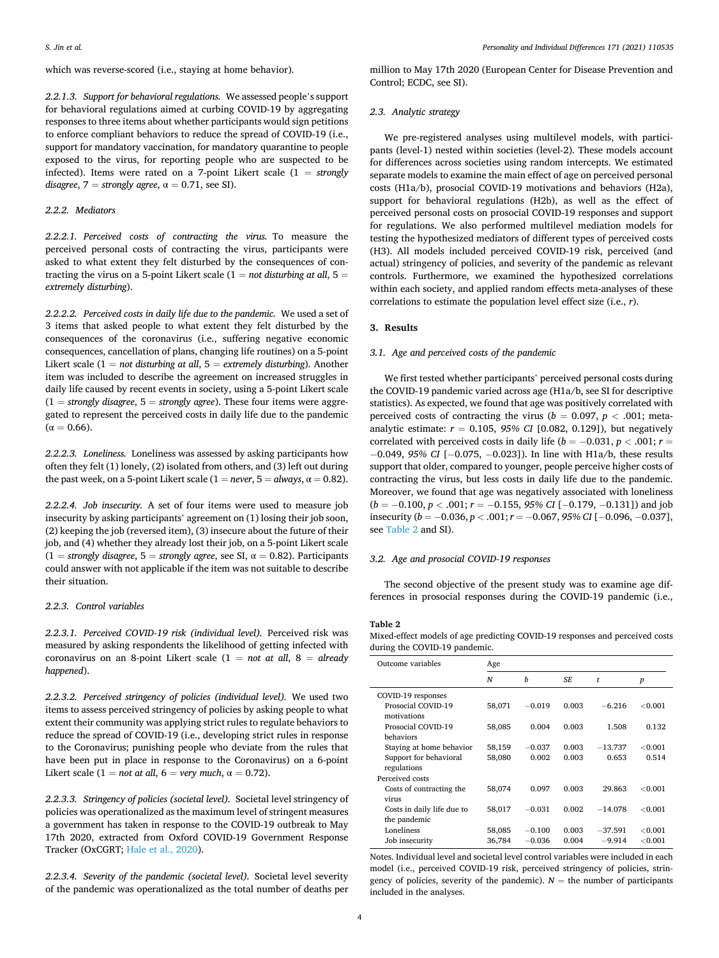<span id="page-3-0"></span>*2.2.1.3. Support for behavioral regulations.* We assessed people's support for behavioral regulations aimed at curbing COVID-19 by aggregating responses to three items about whether participants would sign petitions to enforce compliant behaviors to reduce the spread of COVID-19 (i.e., support for mandatory vaccination, for mandatory quarantine to people exposed to the virus, for reporting people who are suspected to be infected). Items were rated on a 7-point Likert scale (1 = *strongly disagree*,  $7 =$  *strongly agree*,  $\alpha = 0.71$ , see SI).

#### *2.2.2. Mediators*

*2.2.2.1. Perceived costs of contracting the virus.* To measure the perceived personal costs of contracting the virus, participants were asked to what extent they felt disturbed by the consequences of contracting the virus on a 5-point Likert scale  $(1 = not$  disturbing at all,  $5 =$ *extremely disturbing*).

*2.2.2.2. Perceived costs in daily life due to the pandemic.* We used a set of 3 items that asked people to what extent they felt disturbed by the consequences of the coronavirus (i.e., suffering negative economic consequences, cancellation of plans, changing life routines) on a 5-point Likert scale (1 = *not disturbing at all*, 5 = *extremely disturbing*). Another item was included to describe the agreement on increased struggles in daily life caused by recent events in society, using a 5-point Likert scale  $(1 =$  *strongly disagree*,  $5 =$  *strongly agree*). These four items were aggregated to represent the perceived costs in daily life due to the pandemic  $(α = 0.66)$ .

*2.2.2.3. Loneliness.* Loneliness was assessed by asking participants how often they felt (1) lonely, (2) isolated from others, and (3) left out during the past week, on a 5-point Likert scale  $(1 = never, 5 = always, \alpha = 0.82)$ .

*2.2.2.4. Job insecurity.* A set of four items were used to measure job insecurity by asking participants' agreement on (1) losing their job soon, (2) keeping the job (reversed item), (3) insecure about the future of their job, and (4) whether they already lost their job, on a 5-point Likert scale  $(1 =$  *strongly disagree*,  $5 =$  *strongly agree*, see SI,  $\alpha = 0.82$ ). Participants could answer with not applicable if the item was not suitable to describe their situation.

# *2.2.3. Control variables*

*2.2.3.1. Perceived COVID-19 risk (individual level).* Perceived risk was measured by asking respondents the likelihood of getting infected with coronavirus on an 8-point Likert scale (1 = *not at all*, 8 = *already happened*).

*2.2.3.2. Perceived stringency of policies (individual level).* We used two items to assess perceived stringency of policies by asking people to what extent their community was applying strict rules to regulate behaviors to reduce the spread of COVID-19 (i.e., developing strict rules in response to the Coronavirus; punishing people who deviate from the rules that have been put in place in response to the Coronavirus) on a 6-point Likert scale (1 = *not at all*, 6 = *very much*,  $\alpha = 0.72$ ).

*2.2.3.3. Stringency of policies (societal level).* Societal level stringency of policies was operationalized as the maximum level of stringent measures a government has taken in response to the COVID-19 outbreak to May 17th 2020, extracted from Oxford COVID-19 Government Response Tracker (OxCGRT; [Hale et al., 2020\)](#page-7-0).

*2.2.3.4. Severity of the pandemic (societal level).* Societal level severity of the pandemic was operationalized as the total number of deaths per million to May 17th 2020 (European Center for Disease Prevention and Control; ECDC, see SI).

# *2.3. Analytic strategy*

We pre-registered analyses using multilevel models, with participants (level-1) nested within societies (level-2). These models account for differences across societies using random intercepts. We estimated separate models to examine the main effect of age on perceived personal costs (H1a/b), prosocial COVID-19 motivations and behaviors (H2a), support for behavioral regulations (H2b), as well as the effect of perceived personal costs on prosocial COVID-19 responses and support for regulations. We also performed multilevel mediation models for testing the hypothesized mediators of different types of perceived costs (H3). All models included perceived COVID-19 risk, perceived (and actual) stringency of policies, and severity of the pandemic as relevant controls. Furthermore, we examined the hypothesized correlations within each society, and applied random effects meta-analyses of these correlations to estimate the population level effect size (i.e., *r*).

#### **3. Results**

#### *3.1. Age and perceived costs of the pandemic*

We first tested whether participants' perceived personal costs during the COVID-19 pandemic varied across age (H1a/b, see SI for descriptive statistics). As expected, we found that age was positively correlated with perceived costs of contracting the virus ( $b = 0.097$ ,  $p < .001$ ; metaanalytic estimate: *r* = 0.105, *95% CI* [0.082, 0.129]), but negatively correlated with perceived costs in daily life ( $b = -0.031, p < .001$ ;  $r =$ − 0.049, *95% CI* [− 0.075, − 0.023]). In line with H1a/b, these results support that older, compared to younger, people perceive higher costs of contracting the virus, but less costs in daily life due to the pandemic. Moreover, we found that age was negatively associated with loneliness (*b* = − 0.100, *p <* .001; *r* = − 0.155, *95% CI* [− 0.179, − 0.131]) and job insecurity (*b* = − 0.036, *p <* .001; *r* = − 0.067, *95% CI* [− 0.096, − 0.037], see Table 2 and SI).

#### *3.2. Age and prosocial COVID-19 responses*

The second objective of the present study was to examine age differences in prosocial responses during the COVID-19 pandemic (i.e.,

#### **Table 2**

Mixed-effect models of age predicting COVID-19 responses and perceived costs during the COVID-19 pandemic.

| Outcome variables                          | Age    |                  |       |           |                  |  |  |
|--------------------------------------------|--------|------------------|-------|-----------|------------------|--|--|
|                                            | N      | $\boldsymbol{h}$ | SF.   | t         | $\boldsymbol{p}$ |  |  |
| COVID-19 responses                         |        |                  |       |           |                  |  |  |
| Prosocial COVID-19<br>motivations          | 58,071 | $-0.019$         | 0.003 | $-6.216$  | ${<}0.001$       |  |  |
| Prosocial COVID-19<br>behaviors            | 58,085 | 0.004            | 0.003 | 1.508     | 0.132            |  |  |
| Staying at home behavior                   | 58,159 | $-0.037$         | 0.003 | $-13.737$ | ${<}0.001$       |  |  |
| Support for behavioral<br>regulations      | 58,080 | 0.002            | 0.003 | 0.653     | 0.514            |  |  |
| Perceived costs                            |        |                  |       |           |                  |  |  |
| Costs of contracting the<br>virus          | 58,074 | 0.097            | 0.003 | 29.863    | ${<}0.001$       |  |  |
| Costs in daily life due to<br>the pandemic | 58.017 | $-0.031$         | 0.002 | $-14.078$ | < 0.001          |  |  |
| Loneliness                                 | 58,085 | $-0.100$         | 0.003 | $-37.591$ | ${<}0.001$       |  |  |
| Job insecurity                             | 36,784 | $-0.036$         | 0.004 | $-9.914$  | ${<}0.001$       |  |  |

Notes. Individual level and societal level control variables were included in each model (i.e., perceived COVID-19 risk, perceived stringency of policies, stringency of policies, severity of the pandemic).  $N =$  the number of participants included in the analyses.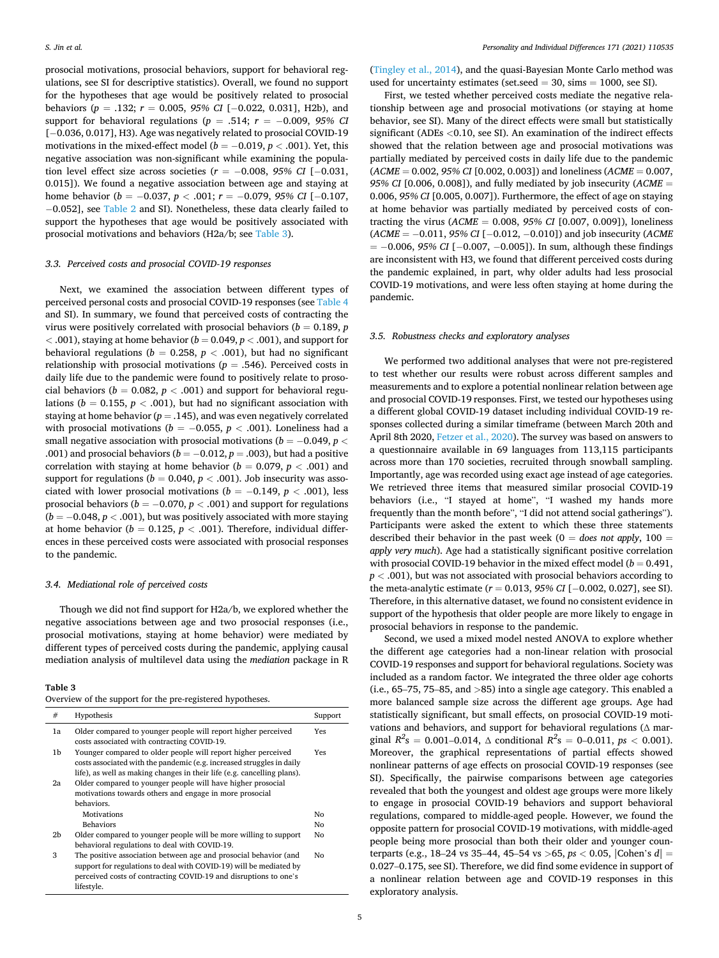prosocial motivations, prosocial behaviors, support for behavioral regulations, see SI for descriptive statistics). Overall, we found no support for the hypotheses that age would be positively related to prosocial behaviors (*p* = .132; *r* = 0.005, *95% CI* [− 0.022, 0.031], H2b), and support for behavioral regulations ( $p = .514$ ;  $r = -0.009$ , 95% CI [ $-0.036, 0.017$ ], H3). Age was negatively related to prosocial COVID-19 motivations in the mixed-effect model ( $b = -0.019$ ,  $p < .001$ ). Yet, this negative association was non-significant while examining the population level effect size across societies ( $r = -0.008$ , 95% CI [−0.031, 0.015]). We found a negative association between age and staying at home behavior (*b* = −0.037, *p* < .001; *r* = −0.079, 95% CI [−0.107, − 0.052], see [Table 2](#page-3-0) and SI). Nonetheless, these data clearly failed to support the hypotheses that age would be positively associated with prosocial motivations and behaviors (H2a/b; see Table 3).

# *3.3. Perceived costs and prosocial COVID-19 responses*

Next, we examined the association between different types of perceived personal costs and prosocial COVID-19 responses (see [Table 4](#page-5-0)  and SI). In summary, we found that perceived costs of contracting the virus were positively correlated with prosocial behaviors ( $b = 0.189$ ,  $p$ *<* .001), staying at home behavior (*b* = 0.049, *p <* .001), and support for behavioral regulations ( $b = 0.258$ ,  $p < .001$ ), but had no significant relationship with prosocial motivations  $(p = .546)$ . Perceived costs in daily life due to the pandemic were found to positively relate to prosocial behaviors ( $b = 0.082$ ,  $p < .001$ ) and support for behavioral regulations ( $b = 0.155$ ,  $p < .001$ ), but had no significant association with staying at home behavior ( $p = .145$ ), and was even negatively correlated with prosocial motivations ( $b = -0.055$ ,  $p < .001$ ). Loneliness had a small negative association with prosocial motivations ( $b = -0.049$ ,  $p <$ .001) and prosocial behaviors ( $b = -0.012$ ,  $p = .003$ ), but had a positive correlation with staying at home behavior ( $b = 0.079$ ,  $p < .001$ ) and support for regulations ( $b = 0.040$ ,  $p < .001$ ). Job insecurity was associated with lower prosocial motivations ( $b = -0.149$ ,  $p < .001$ ), less prosocial behaviors ( $b = -0.070$ ,  $p < .001$ ) and support for regulations (*b* = − 0.048, *p <* .001), but was positively associated with more staying at home behavior ( $b = 0.125$ ,  $p < .001$ ). Therefore, individual differences in these perceived costs were associated with prosocial responses to the pandemic.

# *3.4. Mediational role of perceived costs*

Though we did not find support for H2a/b, we explored whether the negative associations between age and two prosocial responses (i.e., prosocial motivations, staying at home behavior) were mediated by different types of perceived costs during the pandemic, applying causal mediation analysis of multilevel data using the *mediation* package in R

#### **Table 3**

|  |  | Overview of the support for the pre-registered hypotheses. |  |
|--|--|------------------------------------------------------------|--|
|--|--|------------------------------------------------------------|--|

| #  | Hypothesis                                                                                                                                                                                                               | Support |
|----|--------------------------------------------------------------------------------------------------------------------------------------------------------------------------------------------------------------------------|---------|
| 1a | Older compared to younger people will report higher perceived<br>costs associated with contracting COVID-19.                                                                                                             | Yes     |
| 1b | Younger compared to older people will report higher perceived<br>costs associated with the pandemic (e.g. increased struggles in daily<br>life), as well as making changes in their life (e.g. cancelling plans).        | Yes     |
| 2a | Older compared to younger people will have higher prosocial<br>motivations towards others and engage in more prosocial                                                                                                   |         |
|    | behaviors.<br><b>Motivations</b>                                                                                                                                                                                         | No      |
|    | <b>Behaviors</b>                                                                                                                                                                                                         | No      |
| 2b | Older compared to younger people will be more willing to support<br>behavioral regulations to deal with COVID-19.                                                                                                        | No      |
| 3  | The positive association between age and prosocial behavior (and<br>support for regulations to deal with COVID-19) will be mediated by<br>perceived costs of contracting COVID-19 and disruptions to one's<br>lifestyle. | No      |

([Tingley et al., 2014](#page-7-0)), and the quasi-Bayesian Monte Carlo method was used for uncertainty estimates (set.seed  $=$  30, sims  $=$  1000, see SI).

First, we tested whether perceived costs mediate the negative relationship between age and prosocial motivations (or staying at home behavior, see SI). Many of the direct effects were small but statistically significant (ADEs *<*0.10, see SI). An examination of the indirect effects showed that the relation between age and prosocial motivations was partially mediated by perceived costs in daily life due to the pandemic (*ACME* = 0.002, *95% CI* [0.002, 0.003]) and loneliness (*ACME* = 0.007, *95% CI* [0.006, 0.008]), and fully mediated by job insecurity (*ACME* = 0.006, *95% CI* [0.005, 0.007]). Furthermore, the effect of age on staying at home behavior was partially mediated by perceived costs of contracting the virus (*ACME* = 0.008, *95% CI* [0.007, 0.009]), loneliness (*ACME* = − 0.011, *95% CI* [− 0.012, − 0.010]) and job insecurity (*ACME*   $= -0.006, 95\% \text{ CI } [-0.007, -0.005]$ . In sum, although these findings are inconsistent with H3, we found that different perceived costs during the pandemic explained, in part, why older adults had less prosocial COVID-19 motivations, and were less often staying at home during the pandemic.

#### *3.5. Robustness checks and exploratory analyses*

We performed two additional analyses that were not pre-registered to test whether our results were robust across different samples and measurements and to explore a potential nonlinear relation between age and prosocial COVID-19 responses. First, we tested our hypotheses using a different global COVID-19 dataset including individual COVID-19 responses collected during a similar timeframe (between March 20th and April 8th 2020, [Fetzer et al., 2020\)](#page-7-0). The survey was based on answers to a questionnaire available in 69 languages from 113,115 participants across more than 170 societies, recruited through snowball sampling. Importantly, age was recorded using exact age instead of age categories. We retrieved three items that measured similar prosocial COVID-19 behaviors (i.e., "I stayed at home", "I washed my hands more frequently than the month before", "I did not attend social gatherings"). Participants were asked the extent to which these three statements described their behavior in the past week ( $0 =$  *does not apply*,  $100 =$ *apply very much*). Age had a statistically significant positive correlation with prosocial COVID-19 behavior in the mixed effect model ( $b = 0.491$ , *p <* .001), but was not associated with prosocial behaviors according to the meta-analytic estimate (*r* = 0.013, *95% CI* [− 0.002, 0.027], see SI). Therefore, in this alternative dataset, we found no consistent evidence in support of the hypothesis that older people are more likely to engage in prosocial behaviors in response to the pandemic.

Second, we used a mixed model nested ANOVA to explore whether the different age categories had a non-linear relation with prosocial COVID-19 responses and support for behavioral regulations. Society was included as a random factor. We integrated the three older age cohorts (i.e., 65–75, 75–85, and *>*85) into a single age category. This enabled a more balanced sample size across the different age groups. Age had statistically significant, but small effects, on prosocial COVID-19 motivations and behaviors, and support for behavioral regulations (∆ marginal  $R^2s = 0.001 - 0.014$ ,  $\triangle$  conditional  $R^2s = 0 - 0.011$ ,  $ps < 0.001$ ). Moreover, the graphical representations of partial effects showed nonlinear patterns of age effects on prosocial COVID-19 responses (see SI). Specifically, the pairwise comparisons between age categories revealed that both the youngest and oldest age groups were more likely to engage in prosocial COVID-19 behaviors and support behavioral regulations, compared to middle-aged people. However, we found the opposite pattern for prosocial COVID-19 motivations, with middle-aged people being more prosocial than both their older and younger counterparts (e.g., 18–24 vs 35–44, 45–54 vs *>*65, *ps <* 0.05, |Cohen's *d*| = 0.027–0.175, see SI). Therefore, we did find some evidence in support of a nonlinear relation between age and COVID-19 responses in this exploratory analysis.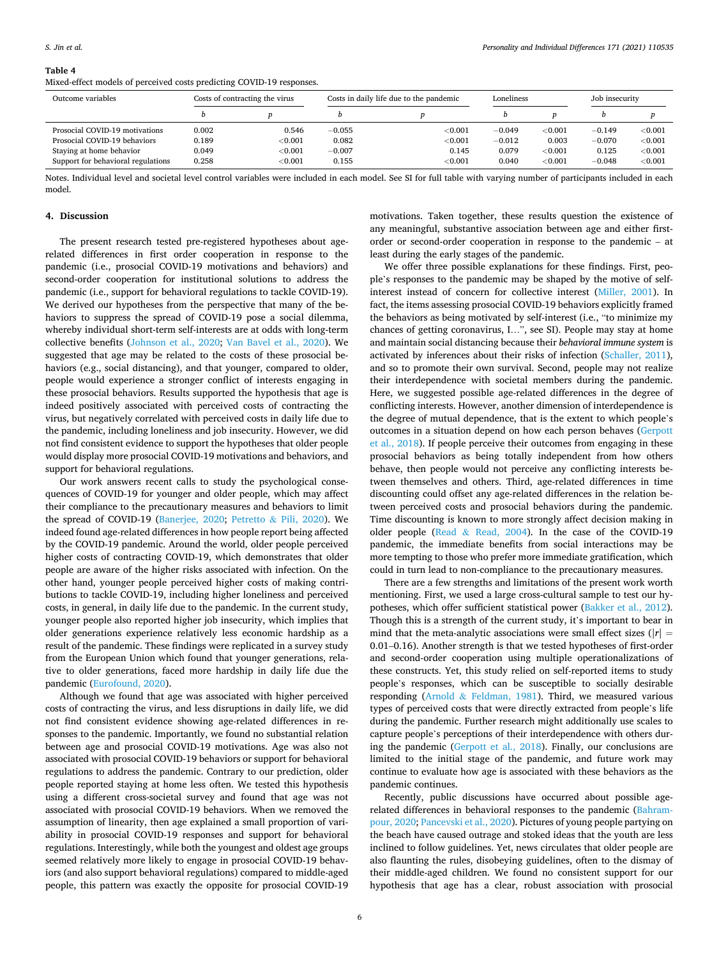#### <span id="page-5-0"></span>**Table 4**

Mixed-effect models of perceived costs predicting COVID-19 responses.

| Outcome variables                  | Costs of contracting the virus |         |          | Costs in daily life due to the pandemic |          | Loneliness     |          | Job insecurity |  |
|------------------------------------|--------------------------------|---------|----------|-----------------------------------------|----------|----------------|----------|----------------|--|
|                                    |                                |         |          |                                         |          |                |          |                |  |
| Prosocial COVID-19 motivations     | 0.002                          | 0.546   | $-0.055$ | $<$ $0.001$                             | $-0.049$ | $<$ 0.001 $\,$ | $-0.149$ | ${<}0.001$     |  |
| Prosocial COVID-19 behaviors       | 0.189                          | < 0.001 | 0.082    | < 0.001                                 | $-0.012$ | 0.003          | $-0.070$ | < 0.001        |  |
| Staying at home behavior           | 0.049                          | < 0.001 | $-0.007$ | 0.145                                   | 0.079    | $<$ 0.001 $\,$ | 0.125    | < 0.001        |  |
| Support for behavioral regulations | 0.258                          | < 0.001 | 0.155    | < 0.001                                 | 0.040    | $<$ $0.001$    | $-0.048$ | < 0.001        |  |

Notes. Individual level and societal level control variables were included in each model. See SI for full table with varying number of participants included in each model.

#### **4. Discussion**

The present research tested pre-registered hypotheses about agerelated differences in first order cooperation in response to the pandemic (i.e., prosocial COVID-19 motivations and behaviors) and second-order cooperation for institutional solutions to address the pandemic (i.e., support for behavioral regulations to tackle COVID-19). We derived our hypotheses from the perspective that many of the behaviors to suppress the spread of COVID-19 pose a social dilemma, whereby individual short-term self-interests are at odds with long-term collective benefits [\(Johnson et al., 2020](#page-7-0); [Van Bavel et al., 2020\)](#page-7-0). We suggested that age may be related to the costs of these prosocial behaviors (e.g., social distancing), and that younger, compared to older, people would experience a stronger conflict of interests engaging in these prosocial behaviors. Results supported the hypothesis that age is indeed positively associated with perceived costs of contracting the virus, but negatively correlated with perceived costs in daily life due to the pandemic, including loneliness and job insecurity. However, we did not find consistent evidence to support the hypotheses that older people would display more prosocial COVID-19 motivations and behaviors, and support for behavioral regulations.

Our work answers recent calls to study the psychological consequences of COVID-19 for younger and older people, which may affect their compliance to the precautionary measures and behaviors to limit the spread of COVID-19 ([Banerjee, 2020](#page-7-0); Petretto & [Pili, 2020\)](#page-7-0). We indeed found age-related differences in how people report being affected by the COVID-19 pandemic. Around the world, older people perceived higher costs of contracting COVID-19, which demonstrates that older people are aware of the higher risks associated with infection. On the other hand, younger people perceived higher costs of making contributions to tackle COVID-19, including higher loneliness and perceived costs, in general, in daily life due to the pandemic. In the current study, younger people also reported higher job insecurity, which implies that older generations experience relatively less economic hardship as a result of the pandemic. These findings were replicated in a survey study from the European Union which found that younger generations, relative to older generations, faced more hardship in daily life due the pandemic [\(Eurofound, 2020](#page-7-0)).

Although we found that age was associated with higher perceived costs of contracting the virus, and less disruptions in daily life, we did not find consistent evidence showing age-related differences in responses to the pandemic. Importantly, we found no substantial relation between age and prosocial COVID-19 motivations. Age was also not associated with prosocial COVID-19 behaviors or support for behavioral regulations to address the pandemic. Contrary to our prediction, older people reported staying at home less often. We tested this hypothesis using a different cross-societal survey and found that age was not associated with prosocial COVID-19 behaviors. When we removed the assumption of linearity, then age explained a small proportion of variability in prosocial COVID-19 responses and support for behavioral regulations. Interestingly, while both the youngest and oldest age groups seemed relatively more likely to engage in prosocial COVID-19 behaviors (and also support behavioral regulations) compared to middle-aged people, this pattern was exactly the opposite for prosocial COVID-19

motivations. Taken together, these results question the existence of any meaningful, substantive association between age and either firstorder or second-order cooperation in response to the pandemic – at least during the early stages of the pandemic.

We offer three possible explanations for these findings. First, people's responses to the pandemic may be shaped by the motive of selfinterest instead of concern for collective interest ([Miller, 2001](#page-7-0)). In fact, the items assessing prosocial COVID-19 behaviors explicitly framed the behaviors as being motivated by self-interest (i.e., "to minimize my chances of getting coronavirus, I…", see SI). People may stay at home and maintain social distancing because their *behavioral immune system* is activated by inferences about their risks of infection [\(Schaller, 2011](#page-7-0)), and so to promote their own survival. Second, people may not realize their interdependence with societal members during the pandemic. Here, we suggested possible age-related differences in the degree of conflicting interests. However, another dimension of interdependence is the degree of mutual dependence, that is the extent to which people's outcomes in a situation depend on how each person behaves ([Gerpott](#page-7-0)  [et al., 2018](#page-7-0)). If people perceive their outcomes from engaging in these prosocial behaviors as being totally independent from how others behave, then people would not perceive any conflicting interests between themselves and others. Third, age-related differences in time discounting could offset any age-related differences in the relation between perceived costs and prosocial behaviors during the pandemic. Time discounting is known to more strongly affect decision making in older people (Read  $&$  [Read, 2004\)](#page-7-0). In the case of the COVID-19 pandemic, the immediate benefits from social interactions may be more tempting to those who prefer more immediate gratification, which could in turn lead to non-compliance to the precautionary measures.

There are a few strengths and limitations of the present work worth mentioning. First, we used a large cross-cultural sample to test our hypotheses, which offer sufficient statistical power [\(Bakker et al., 2012](#page-7-0)). Though this is a strength of the current study, it's important to bear in mind that the meta-analytic associations were small effect sizes ( $|r|$  = 0.01–0.16). Another strength is that we tested hypotheses of first-order and second-order cooperation using multiple operationalizations of these constructs. Yet, this study relied on self-reported items to study people's responses, which can be susceptible to socially desirable responding (Arnold & [Feldman, 1981](#page-7-0)). Third, we measured various types of perceived costs that were directly extracted from people's life during the pandemic. Further research might additionally use scales to capture people's perceptions of their interdependence with others during the pandemic [\(Gerpott et al., 2018\)](#page-7-0). Finally, our conclusions are limited to the initial stage of the pandemic, and future work may continue to evaluate how age is associated with these behaviors as the pandemic continues.

Recently, public discussions have occurred about possible age-related differences in behavioral responses to the pandemic ([Bahram](#page-7-0)[pour, 2020; Pancevski et al., 2020\)](#page-7-0). Pictures of young people partying on the beach have caused outrage and stoked ideas that the youth are less inclined to follow guidelines. Yet, news circulates that older people are also flaunting the rules, disobeying guidelines, often to the dismay of their middle-aged children. We found no consistent support for our hypothesis that age has a clear, robust association with prosocial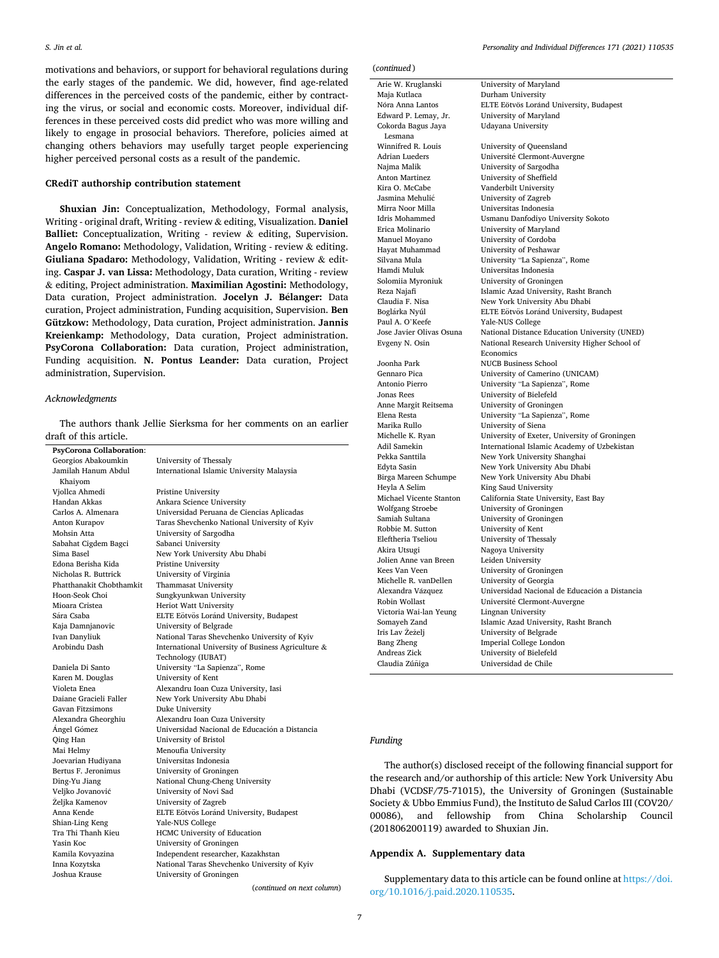motivations and behaviors, or support for behavioral regulations during the early stages of the pandemic. We did, however, find age-related differences in the perceived costs of the pandemic, either by contracting the virus, or social and economic costs. Moreover, individual differences in these perceived costs did predict who was more willing and likely to engage in prosocial behaviors. Therefore, policies aimed at changing others behaviors may usefully target people experiencing higher perceived personal costs as a result of the pandemic.

## **CRediT authorship contribution statement**

**Shuxian Jin:** Conceptualization, Methodology, Formal analysis, Writing - original draft, Writing - review & editing, Visualization. **Daniel Balliet:** Conceptualization, Writing - review & editing, Supervision. **Angelo Romano:** Methodology, Validation, Writing - review & editing. **Giuliana Spadaro:** Methodology, Validation, Writing - review & editing. **Caspar J. van Lissa:** Methodology, Data curation, Writing - review & editing, Project administration. **Maximilian Agostini:** Methodology, Data curation, Project administration. **Jocelyn J. Bélanger:** Data curation, Project administration, Funding acquisition, Supervision. **Ben Gützkow:** Methodology, Data curation, Project administration. **Jannis Kreienkamp:** Methodology, Data curation, Project administration. **PsyCorona Collaboration:** Data curation, Project administration, Funding acquisition. **N. Pontus Leander:** Data curation, Project administration, Supervision.

### *Acknowledgments*

The authors thank Jellie Sierksma for her comments on an earlier draft of this article.

**PsyCorona Collaboration**: University of Thessaly Jamilah Hanum Abdul Khaiyom International Islamic University Malaysia Vjollca Ahmedi Pristine University Ankara Science University Carlos A. Almenara Universidad Peruana de Ciencias Aplicadas Anton Kurapov Taras Shevchenko National University of Kyiv Mohsin Atta University of Sargodha Sabahat Cigdem Bagci Sabanci University Sima Basel New York University Abu Dhabi Edona Berisha Kida Pristine University University of Virginia Phatthanakit Chobthamkit Thammasat University Hoon-Seok Choi Sungkyunkwan University Mioara Cristea Heriot Watt University Sara ´ Csaba ELTE Eotv ¨ os ¨ Lorand ´ University, Budapest University of Belgrade Ivan Danyliuk National Taras Shevchenko University of Kyiv Arobindu Dash International University of Business Agriculture & Technology (IUBAT) Daniela Di Santo University "La Sapienza", Rome **University of Kent** Violeta Enea Alexandru Ioan Cuza University, Iasi New York University Abu Dhabi Gavan Fitzsimons<br>
Alexandra Gheorghiu<br>
Alexandru Ioan Alexandra Gheorghiu Alexandru Ioan Cuza University Ángel Gómez **\*\*\*** Universidad Nacional de Educación a Distancia Qing Han University of Bristol Menoufia University Joevarian Hudiyana Universitas Indonesia Bertus F. Jeronimus University of Groningen Ding-Yu Jiang National Chung-Cheng University Veliko Jovanović University of Novi Sad Željka Kamenov University of Zagreb Anna Kende 
ELTE Eötvös Loránd University, Budapest Shian-Ling Keng Yale-NUS College Tra Thi Thanh Kieu **HCMC University of Education**<br>
Yasin Koc **University of Groningen** University of Groningen Kamila Kovyazina Independent researcher, Kazakhstan Inna Kozytska National Taras Shevchenko University of Kyiv Joshua Krause University of Groningen

(*continued on next column*)

(*continued* )

Arie W. Kruglanski University of Maryland Maja Kutlaca Durham University Cokorda Bagus Jaya Lesmana<br>Winnifred R. Louis Paul A. O'Keefe Yale-NUS College Robbie M. Sutton University of Kent Akira Utsugi Nagoya University Jolien Anne van Breen Leiden University Victoria Wai-lan Yeung Lingnan University

# Nóra Anna Lantos ELTE Eötvös Loránd University, Budapest Edward P. Lemay, Jr. University of Maryland Udayana University Winnifred R. Louis University of Queensland<br>Adrian Lueders Université Clermont-Auv Université Clermont-Auvergne Najma Malik University of Sargodha Anton Martinez University of Sheffield Kira O. McCabe Vanderbilt University<br>Jasmina Mehulić – University of Zagreb Jasmina Mehuli´c University of Zagreb Mirra Noor Milla Universitas Indonesia Idris Mohammed Usmanu Danfodiyo University Sokoto University of Maryland Manuel Moyano University of Cordoba<br>Havat Muhammad University of Peshawa University of Peshawar Silvana Mula University "La Sapienza", Rome Universitas Indonesia Solomiia Myroniuk University of Groningen Reza Najafi Islamic Azad University, Rasht Branch New York University Abu Dhabi Boglárka Nyúl ELTE Eötvös Loránd University, Budapest Jose Javier Olivas Osuna National Distance Education University (UNED) National Research University Higher School of Economics Joonha Park NUCB Business School University of Camerino (UNICAM) Antonio Pierro University "La Sapienza", Rome Jonas Rees University of Bielefeld Anne Margit Reitsema University of Groningen University "La Sapienza", Rome Marika Rullo University of Siena Michelle K. Ryan University of Exeter, University of Groningen<br>Adil Samekin International Islamic Academy of Uzbekistan International Islamic Academy of Uzbekistan Pekka Santtila New York University Shanghai New York University Abu Dhabi Birga Mareen Schumpe New York University Abu Dhabi<br>Heyla A Selim King Saud University King Saud University Michael Vicente Stanton California State University, East Bay University of Groningen Samiah Sultana University of Groningen Eleftheria Tseliou University of Thessaly Kees Van Veen University of Groningen Michelle R. vanDellen University of Georgia<br>Alexandra Vázquez Universidad Naciona Universidad Nacional de Educación a Distancia Robin Wollast Université Clermont-Auvergne Somayeh Zand Islamic Azad University, Rasht Branch<br>Iris Lav Žeželj University of Belgrade University of Belgrade Bang Zheng **Imperial College London** Andreas Zick University of Bielefeld<br>Claudia Zúñiga Universidad de Chile Universidad de Chile

### *Funding*

The author(s) disclosed receipt of the following financial support for the research and/or authorship of this article: New York University Abu Dhabi (VCDSF/75-71015), the University of Groningen (Sustainable Society & Ubbo Emmius Fund), the Instituto de Salud Carlos III (COV20/ 00086), and fellowship from China Scholarship Council (201806200119) awarded to Shuxian Jin.

# **Appendix A. Supplementary data**

Supplementary data to this article can be found online at [https://doi.](https://doi.org/10.1016/j.paid.2020.110535)  [org/10.1016/j.paid.2020.110535.](https://doi.org/10.1016/j.paid.2020.110535)